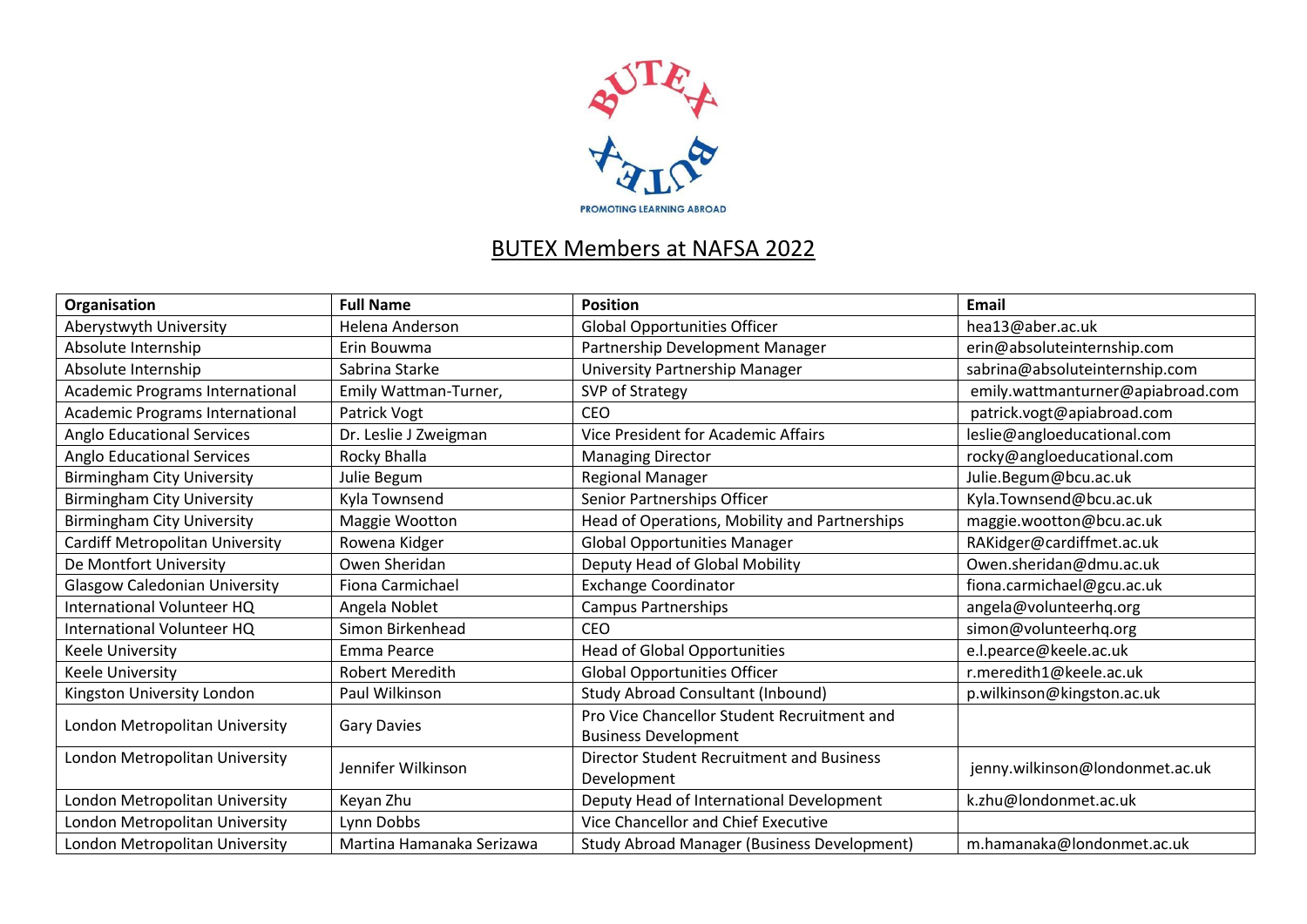

## BUTEX Members at NAFSA 2022

| Organisation                         | <b>Full Name</b>          | <b>Position</b>                                    | <b>Email</b>                      |
|--------------------------------------|---------------------------|----------------------------------------------------|-----------------------------------|
| Aberystwyth University               | Helena Anderson           | <b>Global Opportunities Officer</b>                | hea13@aber.ac.uk                  |
| Absolute Internship                  | Erin Bouwma               | Partnership Development Manager                    | erin@absoluteinternship.com       |
| Absolute Internship                  | Sabrina Starke            | <b>University Partnership Manager</b>              | sabrina@absoluteinternship.com    |
| Academic Programs International      | Emily Wattman-Turner,     | SVP of Strategy                                    | emily.wattmanturner@apiabroad.com |
| Academic Programs International      | Patrick Vogt              | <b>CEO</b>                                         | patrick.vogt@apiabroad.com        |
| Anglo Educational Services           | Dr. Leslie J Zweigman     | <b>Vice President for Academic Affairs</b>         | leslie@angloeducational.com       |
| <b>Anglo Educational Services</b>    | Rocky Bhalla              | <b>Managing Director</b>                           | rocky@angloeducational.com        |
| <b>Birmingham City University</b>    | Julie Begum               | Regional Manager                                   | Julie.Begum@bcu.ac.uk             |
| <b>Birmingham City University</b>    | Kyla Townsend             | Senior Partnerships Officer                        | Kyla.Townsend@bcu.ac.uk           |
| <b>Birmingham City University</b>    | Maggie Wootton            | Head of Operations, Mobility and Partnerships      | maggie.wootton@bcu.ac.uk          |
| Cardiff Metropolitan University      | Rowena Kidger             | <b>Global Opportunities Manager</b>                | RAKidger@cardiffmet.ac.uk         |
| De Montfort University               | Owen Sheridan             | Deputy Head of Global Mobility                     | Owen.sheridan@dmu.ac.uk           |
| <b>Glasgow Caledonian University</b> | Fiona Carmichael          | <b>Exchange Coordinator</b>                        | fiona.carmichael@gcu.ac.uk        |
| International Volunteer HQ           | Angela Noblet             | Campus Partnerships                                | angela@volunteerhq.org            |
| International Volunteer HQ           | Simon Birkenhead          | <b>CEO</b>                                         | simon@volunteerhq.org             |
| <b>Keele University</b>              | Emma Pearce               | <b>Head of Global Opportunities</b>                | e.l.pearce@keele.ac.uk            |
| Keele University                     | <b>Robert Meredith</b>    | <b>Global Opportunities Officer</b>                | r.meredith1@keele.ac.uk           |
| Kingston University London           | Paul Wilkinson            | <b>Study Abroad Consultant (Inbound)</b>           | p.wilkinson@kingston.ac.uk        |
| London Metropolitan University       | <b>Gary Davies</b>        | Pro Vice Chancellor Student Recruitment and        |                                   |
|                                      |                           | <b>Business Development</b>                        |                                   |
| London Metropolitan University       | Jennifer Wilkinson        | <b>Director Student Recruitment and Business</b>   | jenny.wilkinson@londonmet.ac.uk   |
|                                      |                           | Development                                        |                                   |
| London Metropolitan University       | Keyan Zhu                 | Deputy Head of International Development           | k.zhu@londonmet.ac.uk             |
| London Metropolitan University       | Lynn Dobbs                | Vice Chancellor and Chief Executive                |                                   |
| London Metropolitan University       | Martina Hamanaka Serizawa | <b>Study Abroad Manager (Business Development)</b> | m.hamanaka@londonmet.ac.uk        |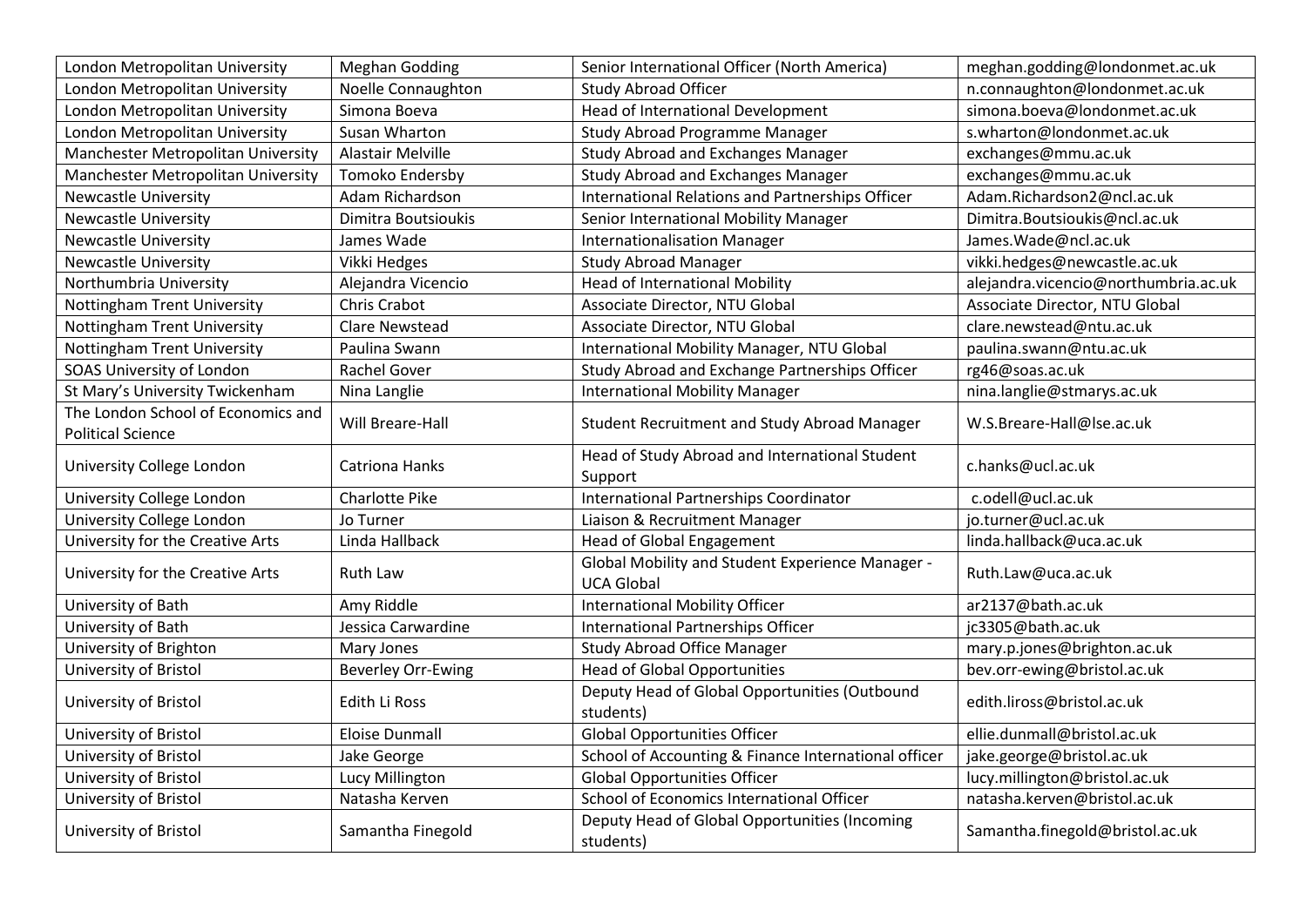| London Metropolitan University                                 | <b>Meghan Godding</b>     | Senior International Officer (North America)                          | meghan.godding@londonmet.ac.uk       |
|----------------------------------------------------------------|---------------------------|-----------------------------------------------------------------------|--------------------------------------|
| London Metropolitan University                                 | <b>Noelle Connaughton</b> | <b>Study Abroad Officer</b>                                           | n.connaughton@londonmet.ac.uk        |
| London Metropolitan University                                 | Simona Boeva              | Head of International Development                                     | simona.boeva@londonmet.ac.uk         |
| London Metropolitan University                                 | Susan Wharton             | Study Abroad Programme Manager                                        | s.wharton@londonmet.ac.uk            |
| Manchester Metropolitan University                             | Alastair Melville         | <b>Study Abroad and Exchanges Manager</b>                             | exchanges@mmu.ac.uk                  |
| Manchester Metropolitan University                             | Tomoko Endersby           | <b>Study Abroad and Exchanges Manager</b>                             | exchanges@mmu.ac.uk                  |
| <b>Newcastle University</b>                                    | Adam Richardson           | <b>International Relations and Partnerships Officer</b>               | Adam.Richardson2@ncl.ac.uk           |
| <b>Newcastle University</b>                                    | Dimitra Boutsioukis       | Senior International Mobility Manager                                 | Dimitra.Boutsioukis@ncl.ac.uk        |
| <b>Newcastle University</b>                                    | James Wade                | <b>Internationalisation Manager</b>                                   | James.Wade@ncl.ac.uk                 |
| <b>Newcastle University</b>                                    | Vikki Hedges              | <b>Study Abroad Manager</b>                                           | vikki.hedges@newcastle.ac.uk         |
| Northumbria University                                         | Alejandra Vicencio        | <b>Head of International Mobility</b>                                 | alejandra.vicencio@northumbria.ac.uk |
| Nottingham Trent University                                    | Chris Crabot              | Associate Director, NTU Global                                        | Associate Director, NTU Global       |
| <b>Nottingham Trent University</b>                             | Clare Newstead            | Associate Director, NTU Global                                        | clare.newstead@ntu.ac.uk             |
| Nottingham Trent University                                    | Paulina Swann             | International Mobility Manager, NTU Global                            | paulina.swann@ntu.ac.uk              |
| SOAS University of London                                      | Rachel Gover              | Study Abroad and Exchange Partnerships Officer                        | rg46@soas.ac.uk                      |
| St Mary's University Twickenham                                | Nina Langlie              | <b>International Mobility Manager</b>                                 | nina.langlie@stmarys.ac.uk           |
| The London School of Economics and<br><b>Political Science</b> | Will Breare-Hall          | Student Recruitment and Study Abroad Manager                          | W.S.Breare-Hall@lse.ac.uk            |
| University College London                                      | <b>Catriona Hanks</b>     | Head of Study Abroad and International Student<br>Support             | c.hanks@ucl.ac.uk                    |
| University College London                                      | Charlotte Pike            | <b>International Partnerships Coordinator</b>                         | c.odell@ucl.ac.uk                    |
| University College London                                      | Jo Turner                 | Liaison & Recruitment Manager                                         | jo.turner@ucl.ac.uk                  |
| University for the Creative Arts                               | Linda Hallback            | <b>Head of Global Engagement</b>                                      | linda.hallback@uca.ac.uk             |
| University for the Creative Arts                               | Ruth Law                  | Global Mobility and Student Experience Manager -<br><b>UCA Global</b> | Ruth.Law@uca.ac.uk                   |
| University of Bath                                             | Amy Riddle                | <b>International Mobility Officer</b>                                 | ar2137@bath.ac.uk                    |
| University of Bath                                             | Jessica Carwardine        | International Partnerships Officer                                    | jc3305@bath.ac.uk                    |
| University of Brighton                                         | Mary Jones                | <b>Study Abroad Office Manager</b>                                    | mary.p.jones@brighton.ac.uk          |
| University of Bristol                                          | <b>Beverley Orr-Ewing</b> | <b>Head of Global Opportunities</b>                                   | bev.orr-ewing@bristol.ac.uk          |
| University of Bristol                                          | Edith Li Ross             | Deputy Head of Global Opportunities (Outbound<br>students)            | edith.liross@bristol.ac.uk           |
| University of Bristol                                          | <b>Eloise Dunmall</b>     | <b>Global Opportunities Officer</b>                                   | ellie.dunmall@bristol.ac.uk          |
| University of Bristol                                          | Jake George               | School of Accounting & Finance International officer                  | jake.george@bristol.ac.uk            |
| University of Bristol                                          | Lucy Millington           | <b>Global Opportunities Officer</b>                                   | lucy.millington@bristol.ac.uk        |
| University of Bristol                                          | Natasha Kerven            | School of Economics International Officer                             | natasha.kerven@bristol.ac.uk         |
| University of Bristol                                          | Samantha Finegold         | Deputy Head of Global Opportunities (Incoming<br>students)            | Samantha.finegold@bristol.ac.uk      |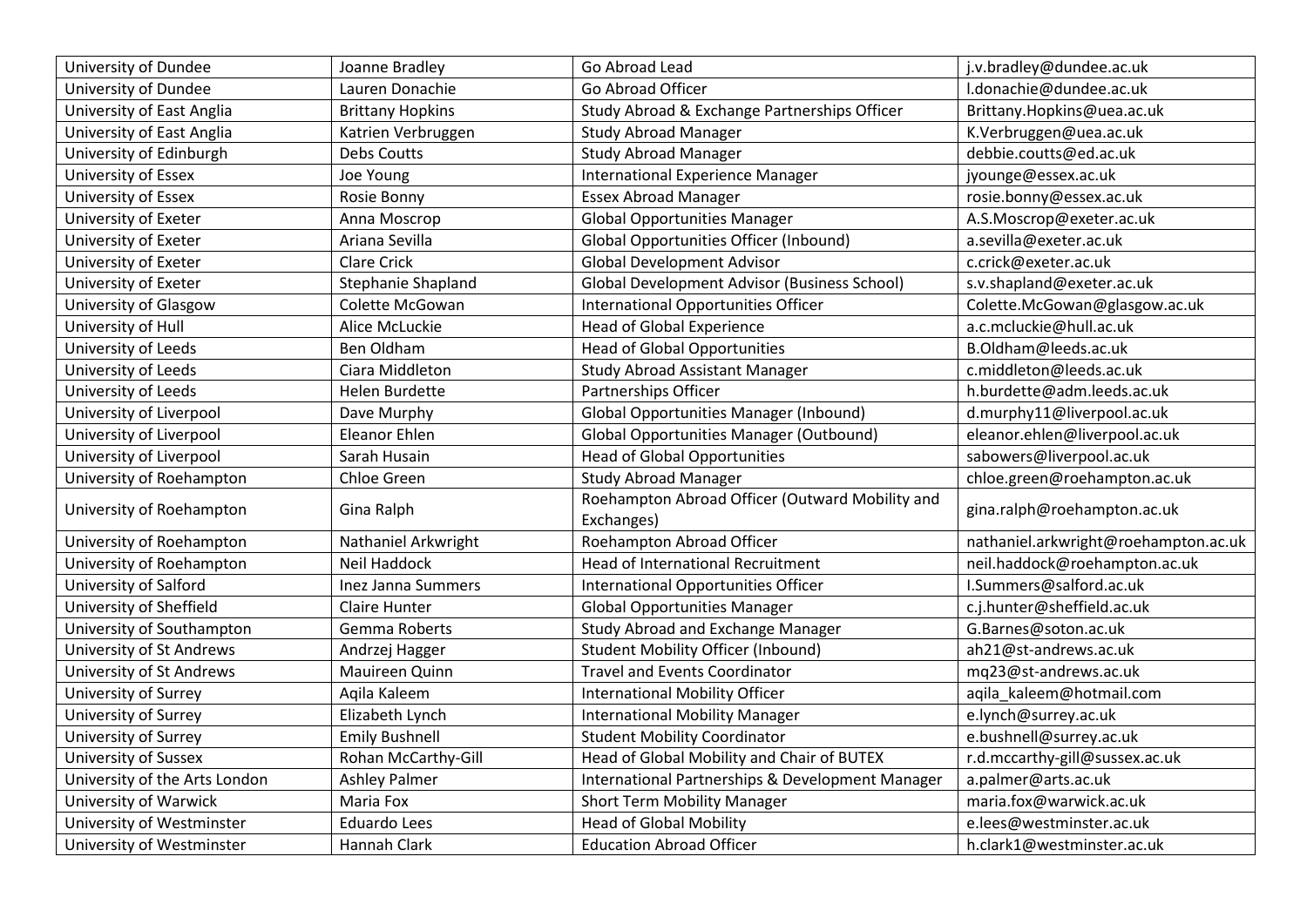| University of Dundee            | Joanne Bradley          | Go Abroad Lead                                      | j.v.bradley@dundee.ac.uk             |
|---------------------------------|-------------------------|-----------------------------------------------------|--------------------------------------|
| University of Dundee            | Lauren Donachie         | Go Abroad Officer                                   | I.donachie@dundee.ac.uk              |
| University of East Anglia       | <b>Brittany Hopkins</b> | Study Abroad & Exchange Partnerships Officer        | Brittany.Hopkins@uea.ac.uk           |
| University of East Anglia       | Katrien Verbruggen      | <b>Study Abroad Manager</b>                         | K.Verbruggen@uea.ac.uk               |
| University of Edinburgh         | Debs Coutts             | <b>Study Abroad Manager</b>                         | debbie.coutts@ed.ac.uk               |
| University of Essex             | Joe Young               | <b>International Experience Manager</b>             | jyounge@essex.ac.uk                  |
| University of Essex             | Rosie Bonny             | <b>Essex Abroad Manager</b>                         | rosie.bonny@essex.ac.uk              |
| University of Exeter            | Anna Moscrop            | <b>Global Opportunities Manager</b>                 | A.S.Moscrop@exeter.ac.uk             |
| University of Exeter            | Ariana Sevilla          | <b>Global Opportunities Officer (Inbound)</b>       | a.sevilla@exeter.ac.uk               |
| University of Exeter            | <b>Clare Crick</b>      | <b>Global Development Advisor</b>                   | c.crick@exeter.ac.uk                 |
| University of Exeter            | Stephanie Shapland      | <b>Global Development Advisor (Business School)</b> | s.v.shapland@exeter.ac.uk            |
| University of Glasgow           | Colette McGowan         | <b>International Opportunities Officer</b>          | Colette.McGowan@glasgow.ac.uk        |
| University of Hull              | Alice McLuckie          | <b>Head of Global Experience</b>                    | a.c.mcluckie@hull.ac.uk              |
| University of Leeds             | Ben Oldham              | <b>Head of Global Opportunities</b>                 | B.Oldham@leeds.ac.uk                 |
| University of Leeds             | Ciara Middleton         | <b>Study Abroad Assistant Manager</b>               | c.middleton@leeds.ac.uk              |
| University of Leeds             | Helen Burdette          | Partnerships Officer                                | h.burdette@adm.leeds.ac.uk           |
| University of Liverpool         | Dave Murphy             | <b>Global Opportunities Manager (Inbound)</b>       | d.murphy11@liverpool.ac.uk           |
| University of Liverpool         | Eleanor Ehlen           | <b>Global Opportunities Manager (Outbound)</b>      | eleanor.ehlen@liverpool.ac.uk        |
| University of Liverpool         | Sarah Husain            | <b>Head of Global Opportunities</b>                 | sabowers@liverpool.ac.uk             |
| University of Roehampton        | Chloe Green             | <b>Study Abroad Manager</b>                         | chloe.green@roehampton.ac.uk         |
| University of Roehampton        | Gina Ralph              | Roehampton Abroad Officer (Outward Mobility and     | gina.ralph@roehampton.ac.uk          |
|                                 |                         | Exchanges)                                          |                                      |
| University of Roehampton        | Nathaniel Arkwright     | Roehampton Abroad Officer                           | nathaniel.arkwright@roehampton.ac.uk |
| University of Roehampton        | Neil Haddock            | <b>Head of International Recruitment</b>            | neil.haddock@roehampton.ac.uk        |
| University of Salford           | Inez Janna Summers      | International Opportunities Officer                 | I.Summers@salford.ac.uk              |
| University of Sheffield         | <b>Claire Hunter</b>    | <b>Global Opportunities Manager</b>                 | c.j.hunter@sheffield.ac.uk           |
| University of Southampton       | Gemma Roberts           | Study Abroad and Exchange Manager                   | G.Barnes@soton.ac.uk                 |
| <b>University of St Andrews</b> | Andrzej Hagger          | <b>Student Mobility Officer (Inbound)</b>           | ah21@st-andrews.ac.uk                |
| <b>University of St Andrews</b> | Mauireen Quinn          | <b>Travel and Events Coordinator</b>                | mq23@st-andrews.ac.uk                |
| University of Surrey            | Agila Kaleem            | <b>International Mobility Officer</b>               | agila kaleem@hotmail.com             |
| University of Surrey            | Elizabeth Lynch         | <b>International Mobility Manager</b>               | e.lynch@surrey.ac.uk                 |
| University of Surrey            | <b>Emily Bushnell</b>   | <b>Student Mobility Coordinator</b>                 | e.bushnell@surrey.ac.uk              |
| <b>University of Sussex</b>     | Rohan McCarthy-Gill     | Head of Global Mobility and Chair of BUTEX          | r.d.mccarthy-gill@sussex.ac.uk       |
| University of the Arts London   | <b>Ashley Palmer</b>    | International Partnerships & Development Manager    | a.palmer@arts.ac.uk                  |
| University of Warwick           | Maria Fox               | Short Term Mobility Manager                         | maria.fox@warwick.ac.uk              |
| University of Westminster       | <b>Eduardo Lees</b>     | <b>Head of Global Mobility</b>                      | e.lees@westminster.ac.uk             |
| University of Westminster       | Hannah Clark            | <b>Education Abroad Officer</b>                     | h.clark1@westminster.ac.uk           |